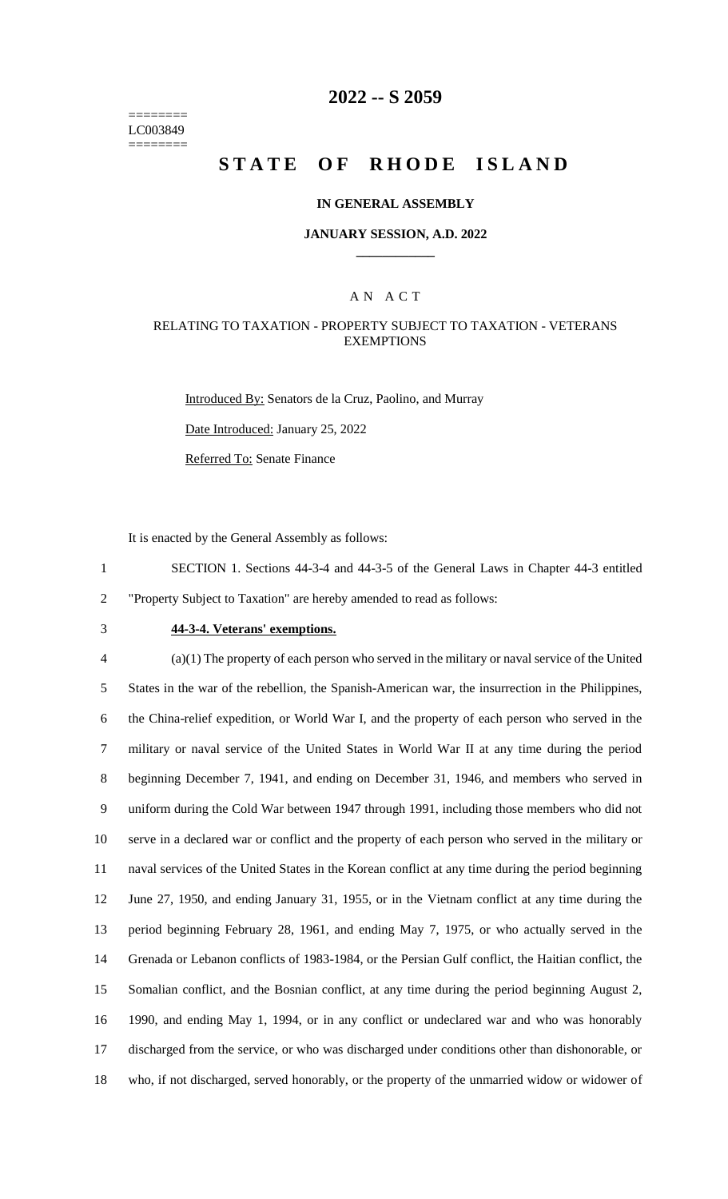======== LC003849 ========

## **2022 -- S 2059**

# **STATE OF RHODE ISLAND**

#### **IN GENERAL ASSEMBLY**

#### **JANUARY SESSION, A.D. 2022 \_\_\_\_\_\_\_\_\_\_\_\_**

#### A N A C T

#### RELATING TO TAXATION - PROPERTY SUBJECT TO TAXATION - VETERANS **EXEMPTIONS**

Introduced By: Senators de la Cruz, Paolino, and Murray Date Introduced: January 25, 2022

Referred To: Senate Finance

It is enacted by the General Assembly as follows:

1 SECTION 1. Sections 44-3-4 and 44-3-5 of the General Laws in Chapter 44-3 entitled 2 "Property Subject to Taxation" are hereby amended to read as follows:

# 3 **44-3-4. Veterans' exemptions.**

 (a)(1) The property of each person who served in the military or naval service of the United States in the war of the rebellion, the Spanish-American war, the insurrection in the Philippines, the China-relief expedition, or World War I, and the property of each person who served in the military or naval service of the United States in World War II at any time during the period beginning December 7, 1941, and ending on December 31, 1946, and members who served in uniform during the Cold War between 1947 through 1991, including those members who did not serve in a declared war or conflict and the property of each person who served in the military or naval services of the United States in the Korean conflict at any time during the period beginning June 27, 1950, and ending January 31, 1955, or in the Vietnam conflict at any time during the period beginning February 28, 1961, and ending May 7, 1975, or who actually served in the Grenada or Lebanon conflicts of 1983-1984, or the Persian Gulf conflict, the Haitian conflict, the Somalian conflict, and the Bosnian conflict, at any time during the period beginning August 2, 1990, and ending May 1, 1994, or in any conflict or undeclared war and who was honorably discharged from the service, or who was discharged under conditions other than dishonorable, or who, if not discharged, served honorably, or the property of the unmarried widow or widower of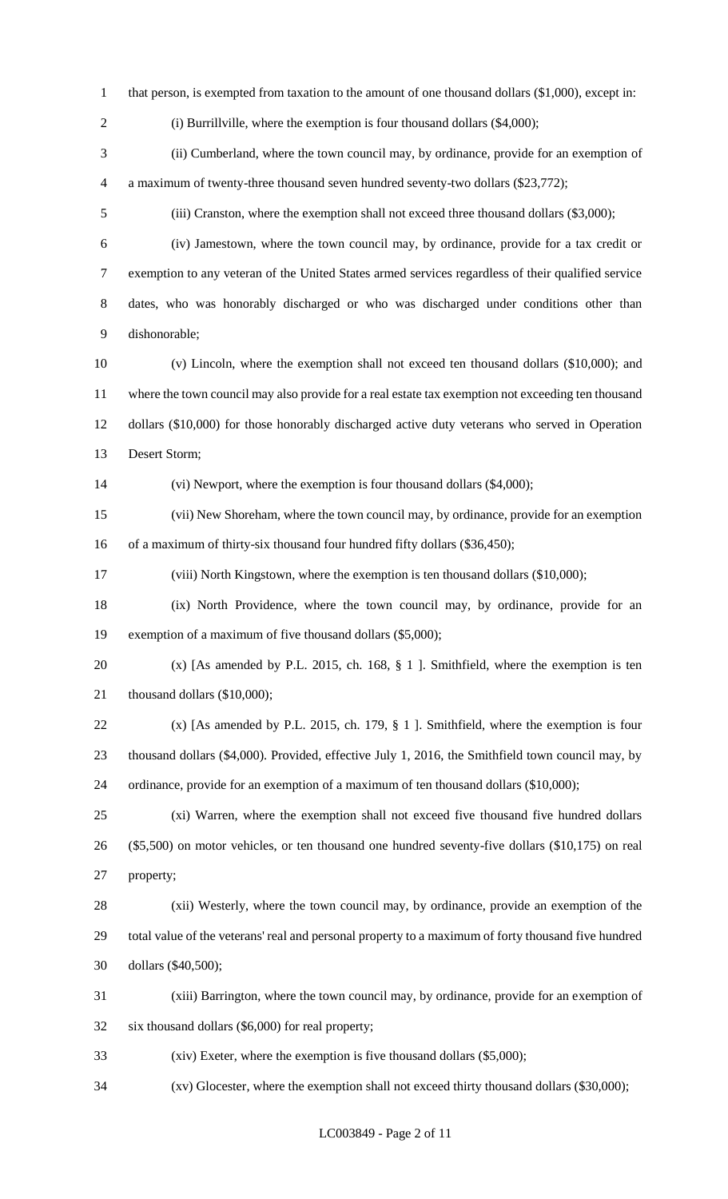- 1 that person, is exempted from taxation to the amount of one thousand dollars (\$1,000), except in:
- 

2 (i) Burrillville, where the exemption is four thousand dollars (\$4,000);

 (ii) Cumberland, where the town council may, by ordinance, provide for an exemption of a maximum of twenty-three thousand seven hundred seventy-two dollars (\$23,772);

(iii) Cranston, where the exemption shall not exceed three thousand dollars (\$3,000);

- (iv) Jamestown, where the town council may, by ordinance, provide for a tax credit or exemption to any veteran of the United States armed services regardless of their qualified service dates, who was honorably discharged or who was discharged under conditions other than dishonorable;
- (v) Lincoln, where the exemption shall not exceed ten thousand dollars (\$10,000); and where the town council may also provide for a real estate tax exemption not exceeding ten thousand dollars (\$10,000) for those honorably discharged active duty veterans who served in Operation Desert Storm;

(vi) Newport, where the exemption is four thousand dollars (\$4,000);

 (vii) New Shoreham, where the town council may, by ordinance, provide for an exemption 16 of a maximum of thirty-six thousand four hundred fifty dollars (\$36,450);

(viii) North Kingstown, where the exemption is ten thousand dollars (\$10,000);

 (ix) North Providence, where the town council may, by ordinance, provide for an exemption of a maximum of five thousand dollars (\$5,000);

 (x) [As amended by P.L. 2015, ch. 168, § 1 ]. Smithfield, where the exemption is ten 21 thousand dollars (\$10,000);

 (x) [As amended by P.L. 2015, ch. 179, § 1 ]. Smithfield, where the exemption is four thousand dollars (\$4,000). Provided, effective July 1, 2016, the Smithfield town council may, by ordinance, provide for an exemption of a maximum of ten thousand dollars (\$10,000);

 (xi) Warren, where the exemption shall not exceed five thousand five hundred dollars (\$5,500) on motor vehicles, or ten thousand one hundred seventy-five dollars (\$10,175) on real property;

 (xii) Westerly, where the town council may, by ordinance, provide an exemption of the total value of the veterans' real and personal property to a maximum of forty thousand five hundred dollars (\$40,500);

 (xiii) Barrington, where the town council may, by ordinance, provide for an exemption of six thousand dollars (\$6,000) for real property;

(xiv) Exeter, where the exemption is five thousand dollars (\$5,000);

(xv) Glocester, where the exemption shall not exceed thirty thousand dollars (\$30,000);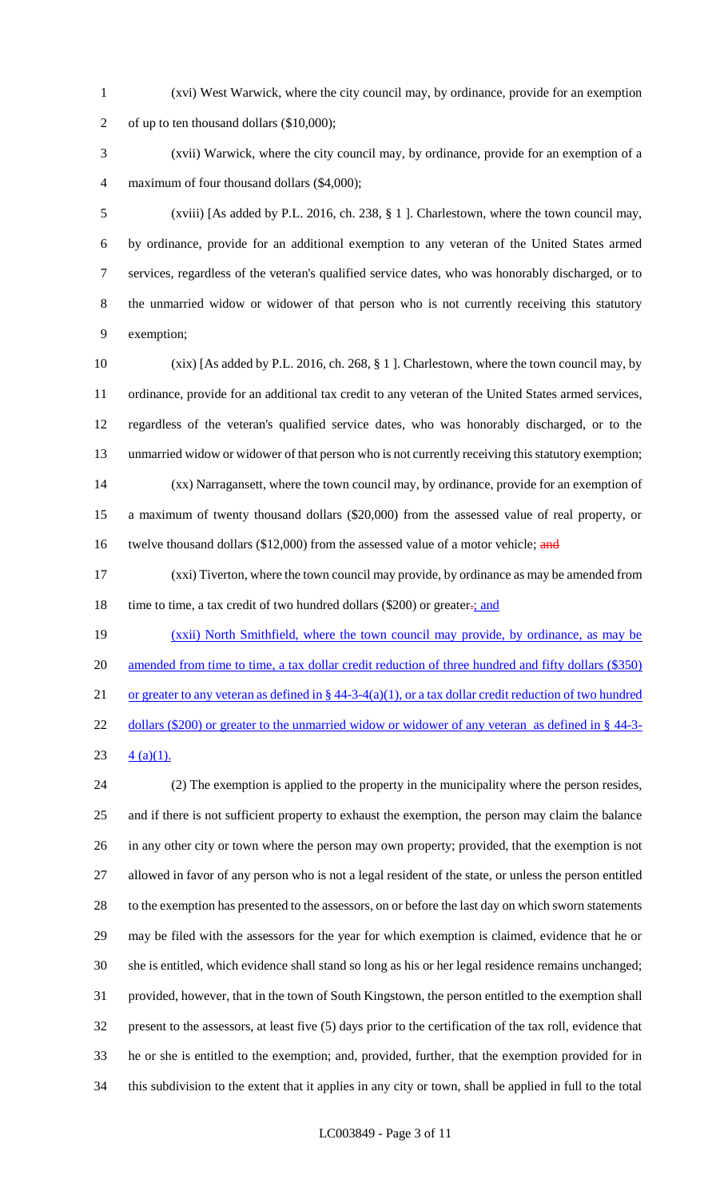- (xvi) West Warwick, where the city council may, by ordinance, provide for an exemption of up to ten thousand dollars (\$10,000);
- (xvii) Warwick, where the city council may, by ordinance, provide for an exemption of a maximum of four thousand dollars (\$4,000);

 (xviii) [As added by P.L. 2016, ch. 238, § 1 ]. Charlestown, where the town council may, by ordinance, provide for an additional exemption to any veteran of the United States armed services, regardless of the veteran's qualified service dates, who was honorably discharged, or to the unmarried widow or widower of that person who is not currently receiving this statutory exemption;

 (xix) [As added by P.L. 2016, ch. 268, § 1 ]. Charlestown, where the town council may, by ordinance, provide for an additional tax credit to any veteran of the United States armed services, regardless of the veteran's qualified service dates, who was honorably discharged, or to the unmarried widow or widower of that person who is not currently receiving this statutory exemption; (xx) Narragansett, where the town council may, by ordinance, provide for an exemption of a maximum of twenty thousand dollars (\$20,000) from the assessed value of real property, or 16 twelve thousand dollars (\$12,000) from the assessed value of a motor vehicle; and

 (xxi) Tiverton, where the town council may provide, by ordinance as may be amended from 18 time to time, a tax credit of two hundred dollars (\$200) or greater- $\frac{1}{2}$  and

 (xxii) North Smithfield, where the town council may provide, by ordinance, as may be 20 amended from time to time, a tax dollar credit reduction of three hundred and fifty dollars (\$350) 21 or greater to any veteran as defined in  $\S$  44-3-4(a)(1), or a tax dollar credit reduction of two hundred 22 dollars (\$200) or greater to the unmarried widow or widower of any veteran as defined in § 44-3-

23  $4 (a)(1)$ .

 (2) The exemption is applied to the property in the municipality where the person resides, and if there is not sufficient property to exhaust the exemption, the person may claim the balance in any other city or town where the person may own property; provided, that the exemption is not allowed in favor of any person who is not a legal resident of the state, or unless the person entitled to the exemption has presented to the assessors, on or before the last day on which sworn statements may be filed with the assessors for the year for which exemption is claimed, evidence that he or she is entitled, which evidence shall stand so long as his or her legal residence remains unchanged; provided, however, that in the town of South Kingstown, the person entitled to the exemption shall present to the assessors, at least five (5) days prior to the certification of the tax roll, evidence that he or she is entitled to the exemption; and, provided, further, that the exemption provided for in this subdivision to the extent that it applies in any city or town, shall be applied in full to the total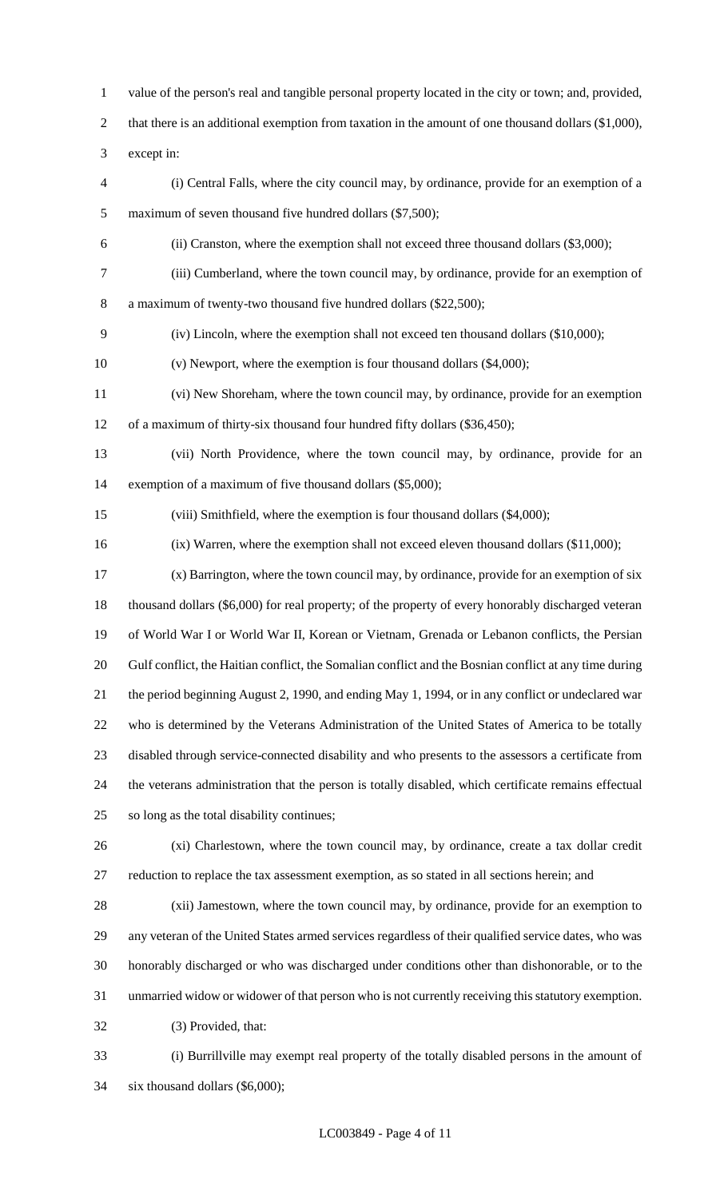value of the person's real and tangible personal property located in the city or town; and, provided,

2 that there is an additional exemption from taxation in the amount of one thousand dollars (\$1,000),

except in:

- (i) Central Falls, where the city council may, by ordinance, provide for an exemption of a maximum of seven thousand five hundred dollars (\$7,500);
- (ii) Cranston, where the exemption shall not exceed three thousand dollars (\$3,000);
- (iii) Cumberland, where the town council may, by ordinance, provide for an exemption of

a maximum of twenty-two thousand five hundred dollars (\$22,500);

(iv) Lincoln, where the exemption shall not exceed ten thousand dollars (\$10,000);

(v) Newport, where the exemption is four thousand dollars (\$4,000);

- (vi) New Shoreham, where the town council may, by ordinance, provide for an exemption of a maximum of thirty-six thousand four hundred fifty dollars (\$36,450);
- (vii) North Providence, where the town council may, by ordinance, provide for an exemption of a maximum of five thousand dollars (\$5,000);
- (viii) Smithfield, where the exemption is four thousand dollars (\$4,000);
- (ix) Warren, where the exemption shall not exceed eleven thousand dollars (\$11,000);
- (x) Barrington, where the town council may, by ordinance, provide for an exemption of six thousand dollars (\$6,000) for real property; of the property of every honorably discharged veteran of World War I or World War II, Korean or Vietnam, Grenada or Lebanon conflicts, the Persian Gulf conflict, the Haitian conflict, the Somalian conflict and the Bosnian conflict at any time during the period beginning August 2, 1990, and ending May 1, 1994, or in any conflict or undeclared war who is determined by the Veterans Administration of the United States of America to be totally disabled through service-connected disability and who presents to the assessors a certificate from the veterans administration that the person is totally disabled, which certificate remains effectual so long as the total disability continues;
- (xi) Charlestown, where the town council may, by ordinance, create a tax dollar credit reduction to replace the tax assessment exemption, as so stated in all sections herein; and
- (xii) Jamestown, where the town council may, by ordinance, provide for an exemption to any veteran of the United States armed services regardless of their qualified service dates, who was honorably discharged or who was discharged under conditions other than dishonorable, or to the unmarried widow or widower of that person who is not currently receiving this statutory exemption. (3) Provided, that:
- (i) Burrillville may exempt real property of the totally disabled persons in the amount of six thousand dollars (\$6,000);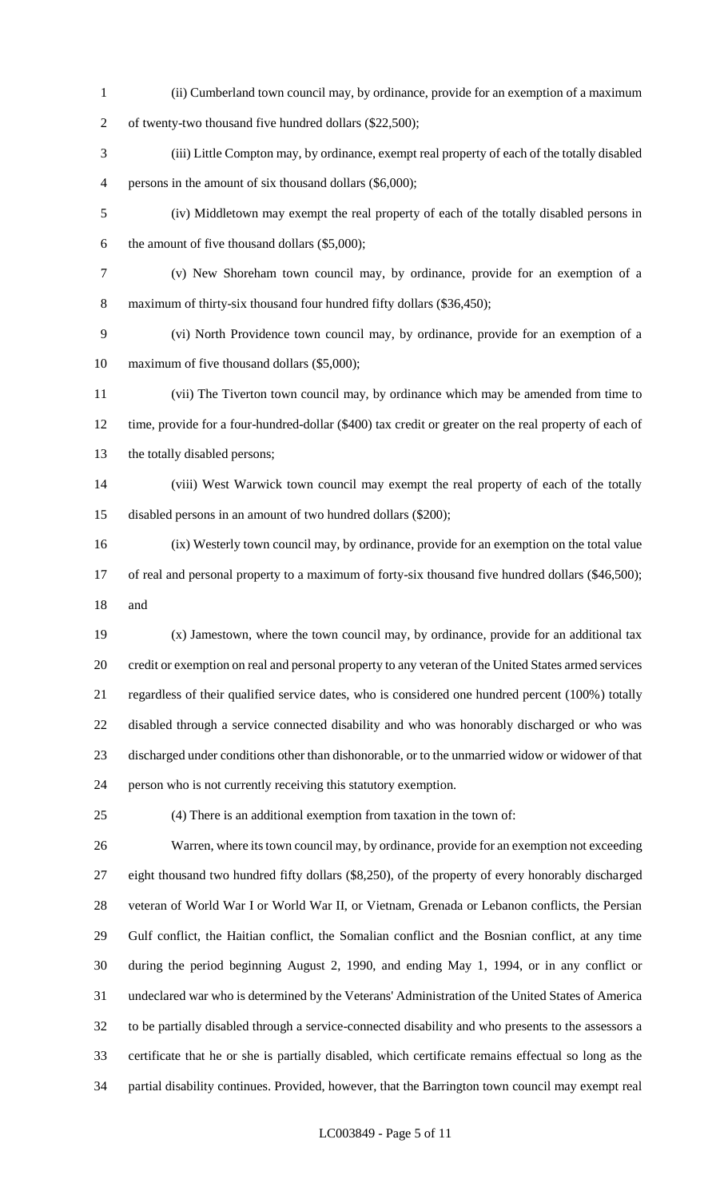(ii) Cumberland town council may, by ordinance, provide for an exemption of a maximum

of twenty-two thousand five hundred dollars (\$22,500);

- (iii) Little Compton may, by ordinance, exempt real property of each of the totally disabled persons in the amount of six thousand dollars (\$6,000);
- (iv) Middletown may exempt the real property of each of the totally disabled persons in the amount of five thousand dollars (\$5,000);
- (v) New Shoreham town council may, by ordinance, provide for an exemption of a maximum of thirty-six thousand four hundred fifty dollars (\$36,450);
- (vi) North Providence town council may, by ordinance, provide for an exemption of a maximum of five thousand dollars (\$5,000);
- (vii) The Tiverton town council may, by ordinance which may be amended from time to time, provide for a four-hundred-dollar (\$400) tax credit or greater on the real property of each of the totally disabled persons;
- (viii) West Warwick town council may exempt the real property of each of the totally disabled persons in an amount of two hundred dollars (\$200);
- (ix) Westerly town council may, by ordinance, provide for an exemption on the total value 17 of real and personal property to a maximum of forty-six thousand five hundred dollars (\$46,500); and
- (x) Jamestown, where the town council may, by ordinance, provide for an additional tax credit or exemption on real and personal property to any veteran of the United States armed services regardless of their qualified service dates, who is considered one hundred percent (100%) totally disabled through a service connected disability and who was honorably discharged or who was discharged under conditions other than dishonorable, or to the unmarried widow or widower of that person who is not currently receiving this statutory exemption.
- (4) There is an additional exemption from taxation in the town of:

 Warren, where its town council may, by ordinance, provide for an exemption not exceeding eight thousand two hundred fifty dollars (\$8,250), of the property of every honorably discharged veteran of World War I or World War II, or Vietnam, Grenada or Lebanon conflicts, the Persian Gulf conflict, the Haitian conflict, the Somalian conflict and the Bosnian conflict, at any time during the period beginning August 2, 1990, and ending May 1, 1994, or in any conflict or undeclared war who is determined by the Veterans' Administration of the United States of America to be partially disabled through a service-connected disability and who presents to the assessors a certificate that he or she is partially disabled, which certificate remains effectual so long as the partial disability continues. Provided, however, that the Barrington town council may exempt real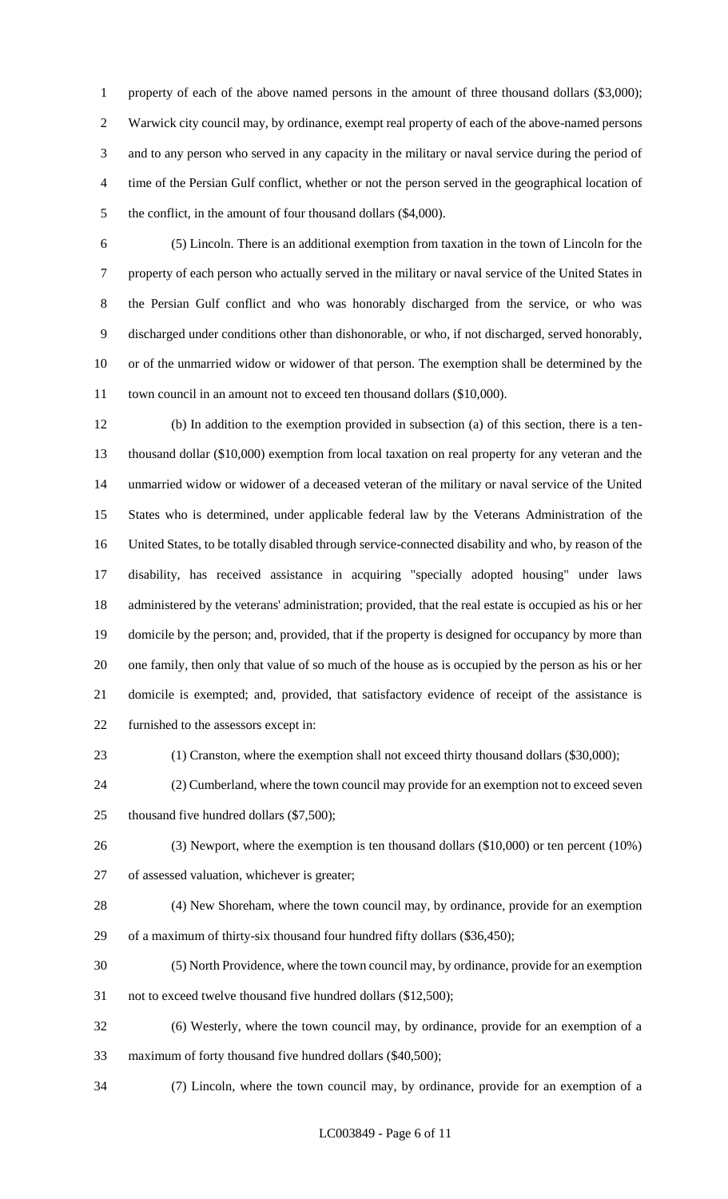1 property of each of the above named persons in the amount of three thousand dollars (\$3,000); Warwick city council may, by ordinance, exempt real property of each of the above-named persons and to any person who served in any capacity in the military or naval service during the period of time of the Persian Gulf conflict, whether or not the person served in the geographical location of 5 the conflict, in the amount of four thousand dollars (\$4,000).

 (5) Lincoln. There is an additional exemption from taxation in the town of Lincoln for the property of each person who actually served in the military or naval service of the United States in the Persian Gulf conflict and who was honorably discharged from the service, or who was discharged under conditions other than dishonorable, or who, if not discharged, served honorably, or of the unmarried widow or widower of that person. The exemption shall be determined by the 11 town council in an amount not to exceed ten thousand dollars (\$10,000).

 (b) In addition to the exemption provided in subsection (a) of this section, there is a ten- thousand dollar (\$10,000) exemption from local taxation on real property for any veteran and the unmarried widow or widower of a deceased veteran of the military or naval service of the United States who is determined, under applicable federal law by the Veterans Administration of the United States, to be totally disabled through service-connected disability and who, by reason of the disability, has received assistance in acquiring "specially adopted housing" under laws administered by the veterans' administration; provided, that the real estate is occupied as his or her domicile by the person; and, provided, that if the property is designed for occupancy by more than one family, then only that value of so much of the house as is occupied by the person as his or her domicile is exempted; and, provided, that satisfactory evidence of receipt of the assistance is furnished to the assessors except in:

(1) Cranston, where the exemption shall not exceed thirty thousand dollars (\$30,000);

 (2) Cumberland, where the town council may provide for an exemption not to exceed seven 25 thousand five hundred dollars (\$7,500);

 (3) Newport, where the exemption is ten thousand dollars (\$10,000) or ten percent (10%) of assessed valuation, whichever is greater;

 (4) New Shoreham, where the town council may, by ordinance, provide for an exemption of a maximum of thirty-six thousand four hundred fifty dollars (\$36,450);

(5) North Providence, where the town council may, by ordinance, provide for an exemption

not to exceed twelve thousand five hundred dollars (\$12,500);

 (6) Westerly, where the town council may, by ordinance, provide for an exemption of a maximum of forty thousand five hundred dollars (\$40,500);

(7) Lincoln, where the town council may, by ordinance, provide for an exemption of a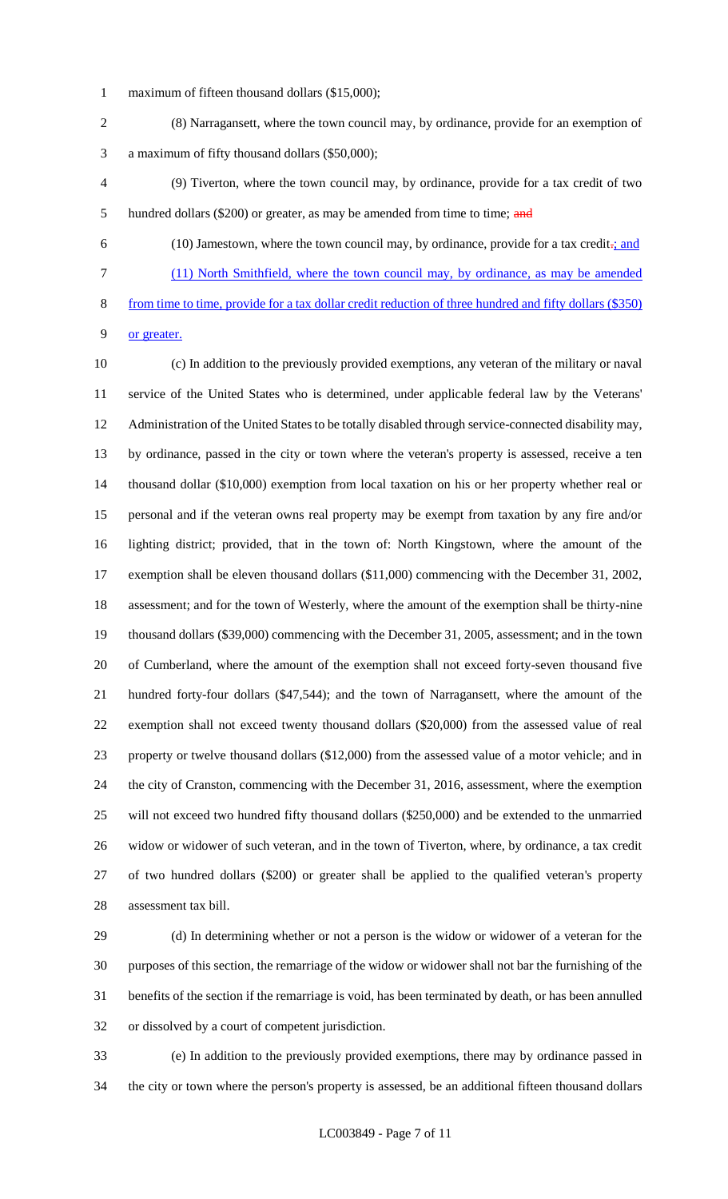- maximum of fifteen thousand dollars (\$15,000);
- (8) Narragansett, where the town council may, by ordinance, provide for an exemption of a maximum of fifty thousand dollars (\$50,000);
- (9) Tiverton, where the town council may, by ordinance, provide for a tax credit of two 5 hundred dollars (\$200) or greater, as may be amended from time to time; and
- 

 (10) Jamestown, where the town council may, by ordinance, provide for a tax credit-; and (11) North Smithfield, where the town council may, by ordinance, as may be amended from time to time, provide for a tax dollar credit reduction of three hundred and fifty dollars (\$350)

or greater.

 (c) In addition to the previously provided exemptions, any veteran of the military or naval service of the United States who is determined, under applicable federal law by the Veterans' Administration of the United States to be totally disabled through service-connected disability may, by ordinance, passed in the city or town where the veteran's property is assessed, receive a ten thousand dollar (\$10,000) exemption from local taxation on his or her property whether real or personal and if the veteran owns real property may be exempt from taxation by any fire and/or lighting district; provided, that in the town of: North Kingstown, where the amount of the exemption shall be eleven thousand dollars (\$11,000) commencing with the December 31, 2002, assessment; and for the town of Westerly, where the amount of the exemption shall be thirty-nine thousand dollars (\$39,000) commencing with the December 31, 2005, assessment; and in the town of Cumberland, where the amount of the exemption shall not exceed forty-seven thousand five hundred forty-four dollars (\$47,544); and the town of Narragansett, where the amount of the exemption shall not exceed twenty thousand dollars (\$20,000) from the assessed value of real property or twelve thousand dollars (\$12,000) from the assessed value of a motor vehicle; and in the city of Cranston, commencing with the December 31, 2016, assessment, where the exemption will not exceed two hundred fifty thousand dollars (\$250,000) and be extended to the unmarried widow or widower of such veteran, and in the town of Tiverton, where, by ordinance, a tax credit of two hundred dollars (\$200) or greater shall be applied to the qualified veteran's property assessment tax bill.

 (d) In determining whether or not a person is the widow or widower of a veteran for the purposes of this section, the remarriage of the widow or widower shall not bar the furnishing of the benefits of the section if the remarriage is void, has been terminated by death, or has been annulled or dissolved by a court of competent jurisdiction.

 (e) In addition to the previously provided exemptions, there may by ordinance passed in the city or town where the person's property is assessed, be an additional fifteen thousand dollars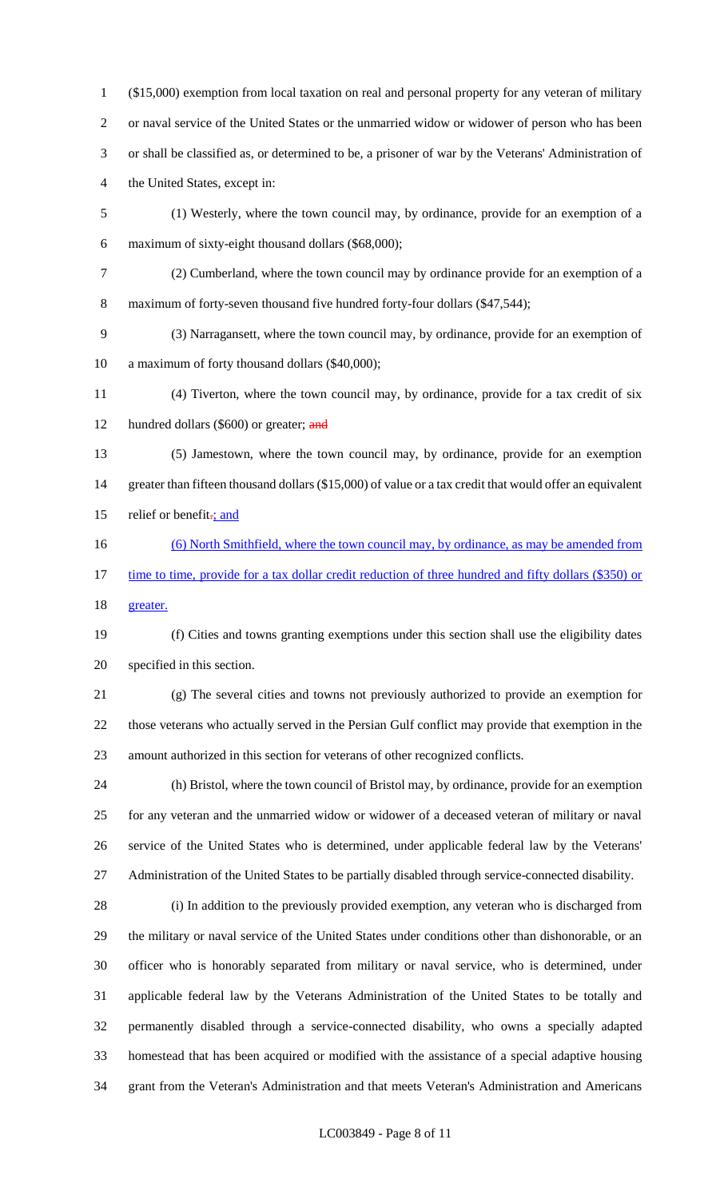(\$15,000) exemption from local taxation on real and personal property for any veteran of military or naval service of the United States or the unmarried widow or widower of person who has been or shall be classified as, or determined to be, a prisoner of war by the Veterans' Administration of the United States, except in:

- (1) Westerly, where the town council may, by ordinance, provide for an exemption of a maximum of sixty-eight thousand dollars (\$68,000);
- (2) Cumberland, where the town council may by ordinance provide for an exemption of a 8 maximum of forty-seven thousand five hundred forty-four dollars (\$47,544);

 (3) Narragansett, where the town council may, by ordinance, provide for an exemption of a maximum of forty thousand dollars (\$40,000);

 (4) Tiverton, where the town council may, by ordinance, provide for a tax credit of six 12 hundred dollars (\$600) or greater; and

- (5) Jamestown, where the town council may, by ordinance, provide for an exemption 14 greater than fifteen thousand dollars (\$15,000) of value or a tax credit that would offer an equivalent 15 relief or benefit<sub>-j</sub> and
- (6) North Smithfield, where the town council may, by ordinance, as may be amended from 17 time to time, provide for a tax dollar credit reduction of three hundred and fifty dollars (\$350) or

greater.

 (f) Cities and towns granting exemptions under this section shall use the eligibility dates specified in this section.

 (g) The several cities and towns not previously authorized to provide an exemption for those veterans who actually served in the Persian Gulf conflict may provide that exemption in the amount authorized in this section for veterans of other recognized conflicts.

 (h) Bristol, where the town council of Bristol may, by ordinance, provide for an exemption for any veteran and the unmarried widow or widower of a deceased veteran of military or naval service of the United States who is determined, under applicable federal law by the Veterans' Administration of the United States to be partially disabled through service-connected disability.

 (i) In addition to the previously provided exemption, any veteran who is discharged from the military or naval service of the United States under conditions other than dishonorable, or an officer who is honorably separated from military or naval service, who is determined, under applicable federal law by the Veterans Administration of the United States to be totally and permanently disabled through a service-connected disability, who owns a specially adapted homestead that has been acquired or modified with the assistance of a special adaptive housing grant from the Veteran's Administration and that meets Veteran's Administration and Americans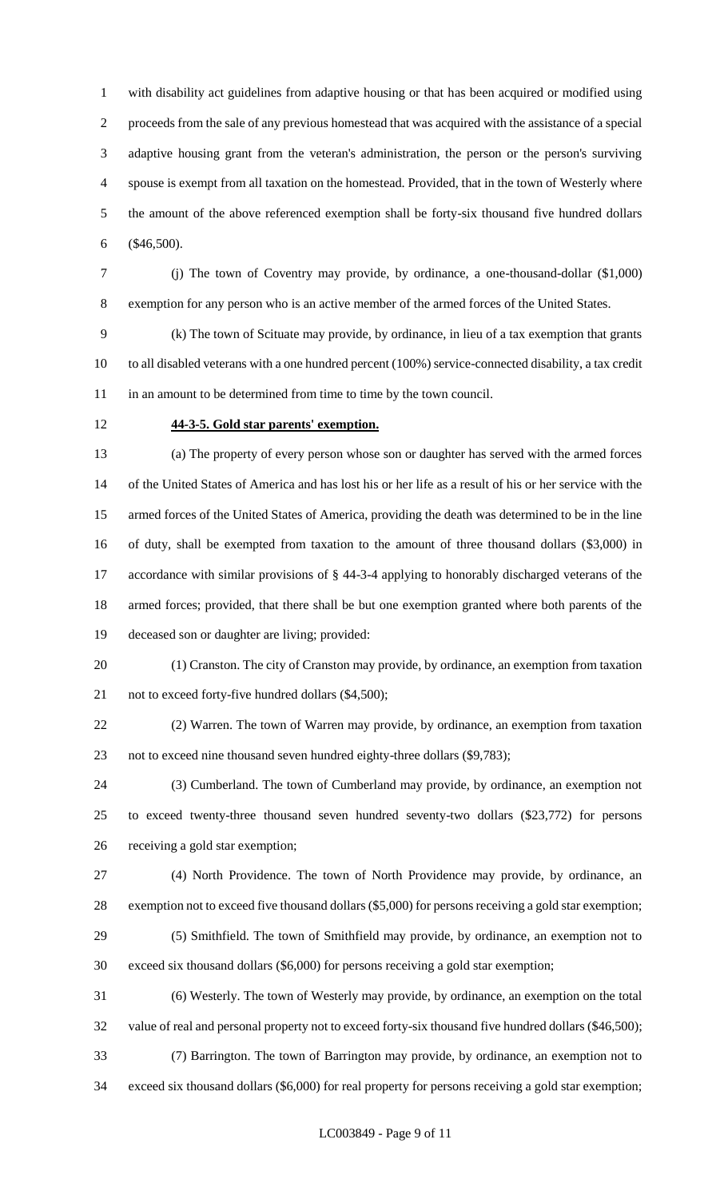with disability act guidelines from adaptive housing or that has been acquired or modified using proceeds from the sale of any previous homestead that was acquired with the assistance of a special adaptive housing grant from the veteran's administration, the person or the person's surviving spouse is exempt from all taxation on the homestead. Provided, that in the town of Westerly where the amount of the above referenced exemption shall be forty-six thousand five hundred dollars (\$46,500).

 (j) The town of Coventry may provide, by ordinance, a one-thousand-dollar (\$1,000) exemption for any person who is an active member of the armed forces of the United States.

 (k) The town of Scituate may provide, by ordinance, in lieu of a tax exemption that grants to all disabled veterans with a one hundred percent (100%) service-connected disability, a tax credit 11 in an amount to be determined from time to time by the town council.

### **44-3-5. Gold star parents' exemption.**

 (a) The property of every person whose son or daughter has served with the armed forces of the United States of America and has lost his or her life as a result of his or her service with the armed forces of the United States of America, providing the death was determined to be in the line of duty, shall be exempted from taxation to the amount of three thousand dollars (\$3,000) in accordance with similar provisions of § 44-3-4 applying to honorably discharged veterans of the armed forces; provided, that there shall be but one exemption granted where both parents of the deceased son or daughter are living; provided:

 (1) Cranston. The city of Cranston may provide, by ordinance, an exemption from taxation 21 not to exceed forty-five hundred dollars (\$4,500);

 (2) Warren. The town of Warren may provide, by ordinance, an exemption from taxation not to exceed nine thousand seven hundred eighty-three dollars (\$9,783);

 (3) Cumberland. The town of Cumberland may provide, by ordinance, an exemption not to exceed twenty-three thousand seven hundred seventy-two dollars (\$23,772) for persons receiving a gold star exemption;

 (4) North Providence. The town of North Providence may provide, by ordinance, an exemption not to exceed five thousand dollars (\$5,000) for persons receiving a gold star exemption;

 (5) Smithfield. The town of Smithfield may provide, by ordinance, an exemption not to exceed six thousand dollars (\$6,000) for persons receiving a gold star exemption;

 (6) Westerly. The town of Westerly may provide, by ordinance, an exemption on the total value of real and personal property not to exceed forty-six thousand five hundred dollars (\$46,500); (7) Barrington. The town of Barrington may provide, by ordinance, an exemption not to

exceed six thousand dollars (\$6,000) for real property for persons receiving a gold star exemption;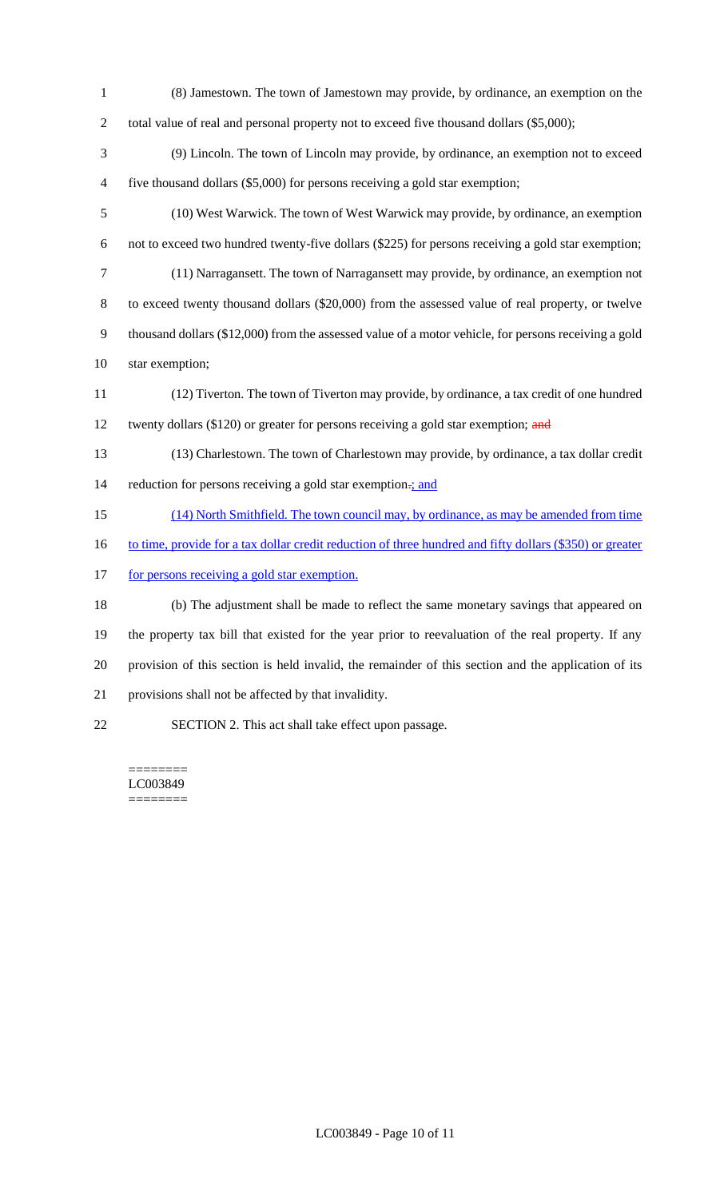- (8) Jamestown. The town of Jamestown may provide, by ordinance, an exemption on the 2 total value of real and personal property not to exceed five thousand dollars (\$5,000);
- (9) Lincoln. The town of Lincoln may provide, by ordinance, an exemption not to exceed five thousand dollars (\$5,000) for persons receiving a gold star exemption;
- (10) West Warwick. The town of West Warwick may provide, by ordinance, an exemption not to exceed two hundred twenty-five dollars (\$225) for persons receiving a gold star exemption; (11) Narragansett. The town of Narragansett may provide, by ordinance, an exemption not to exceed twenty thousand dollars (\$20,000) from the assessed value of real property, or twelve thousand dollars (\$12,000) from the assessed value of a motor vehicle, for persons receiving a gold
- star exemption;
- (12) Tiverton. The town of Tiverton may provide, by ordinance, a tax credit of one hundred 12 twenty dollars (\$120) or greater for persons receiving a gold star exemption; and
- (13) Charlestown. The town of Charlestown may provide, by ordinance, a tax dollar credit 14 reduction for persons receiving a gold star exemption-; and
- (14) North Smithfield. The town council may, by ordinance, as may be amended from time
- 16 to time, provide for a tax dollar credit reduction of three hundred and fifty dollars (\$350) or greater
- 17 for persons receiving a gold star exemption.

 (b) The adjustment shall be made to reflect the same monetary savings that appeared on the property tax bill that existed for the year prior to reevaluation of the real property. If any provision of this section is held invalid, the remainder of this section and the application of its provisions shall not be affected by that invalidity.

SECTION 2. This act shall take effect upon passage.

======== LC003849 ========